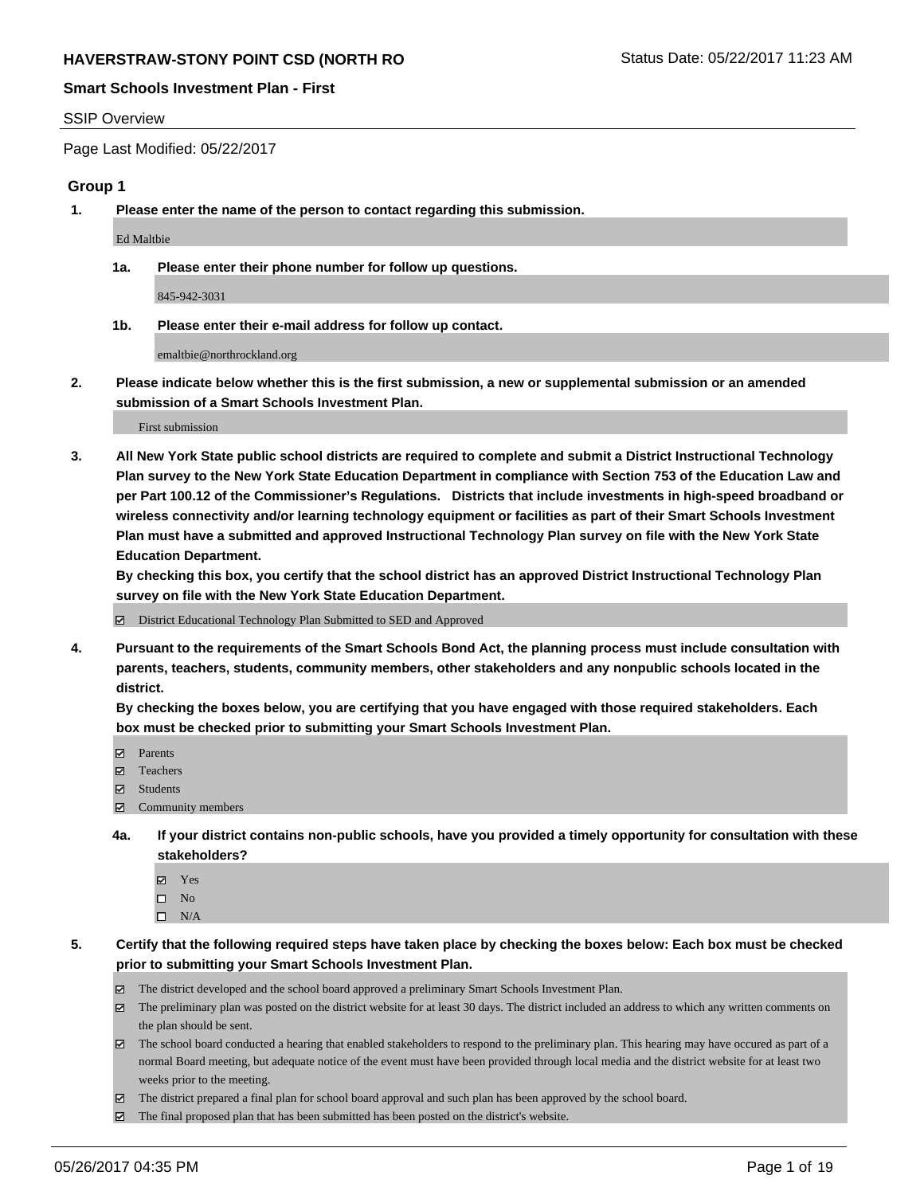### SSIP Overview

Page Last Modified: 05/22/2017

### **Group 1**

**1. Please enter the name of the person to contact regarding this submission.**

Ed Maltbie

**1a. Please enter their phone number for follow up questions.**

845-942-3031

**1b. Please enter their e-mail address for follow up contact.**

emaltbie@northrockland.org

**2. Please indicate below whether this is the first submission, a new or supplemental submission or an amended submission of a Smart Schools Investment Plan.**

First submission

**3. All New York State public school districts are required to complete and submit a District Instructional Technology Plan survey to the New York State Education Department in compliance with Section 753 of the Education Law and per Part 100.12 of the Commissioner's Regulations. Districts that include investments in high-speed broadband or wireless connectivity and/or learning technology equipment or facilities as part of their Smart Schools Investment Plan must have a submitted and approved Instructional Technology Plan survey on file with the New York State Education Department.** 

**By checking this box, you certify that the school district has an approved District Instructional Technology Plan survey on file with the New York State Education Department.**

District Educational Technology Plan Submitted to SED and Approved

**4. Pursuant to the requirements of the Smart Schools Bond Act, the planning process must include consultation with parents, teachers, students, community members, other stakeholders and any nonpublic schools located in the district.** 

**By checking the boxes below, you are certifying that you have engaged with those required stakeholders. Each box must be checked prior to submitting your Smart Schools Investment Plan.**

- **マ** Parents
- □ Teachers
- Students
- $\Xi$  Community members
- **4a. If your district contains non-public schools, have you provided a timely opportunity for consultation with these stakeholders?**
	- Yes
	- $\hfill \square$  No
	- $\square$  N/A
- **5. Certify that the following required steps have taken place by checking the boxes below: Each box must be checked prior to submitting your Smart Schools Investment Plan.**
	- The district developed and the school board approved a preliminary Smart Schools Investment Plan.
	- $\boxtimes$  The preliminary plan was posted on the district website for at least 30 days. The district included an address to which any written comments on the plan should be sent.
	- $\boxtimes$  The school board conducted a hearing that enabled stakeholders to respond to the preliminary plan. This hearing may have occured as part of a normal Board meeting, but adequate notice of the event must have been provided through local media and the district website for at least two weeks prior to the meeting.
	- The district prepared a final plan for school board approval and such plan has been approved by the school board.
	- $\boxtimes$  The final proposed plan that has been submitted has been posted on the district's website.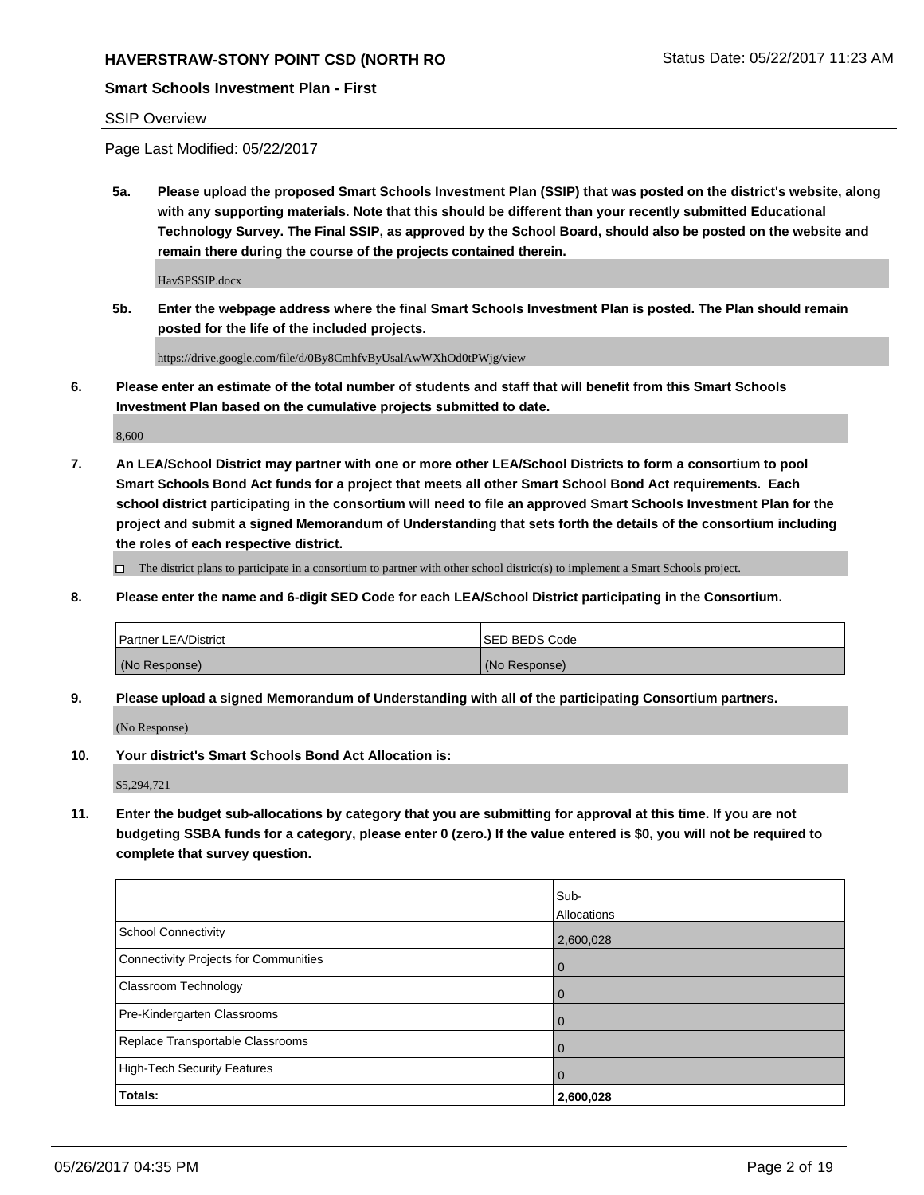## SSIP Overview

Page Last Modified: 05/22/2017

**5a. Please upload the proposed Smart Schools Investment Plan (SSIP) that was posted on the district's website, along with any supporting materials. Note that this should be different than your recently submitted Educational Technology Survey. The Final SSIP, as approved by the School Board, should also be posted on the website and remain there during the course of the projects contained therein.**

HavSPSSIP.docx

**5b. Enter the webpage address where the final Smart Schools Investment Plan is posted. The Plan should remain posted for the life of the included projects.**

https://drive.google.com/file/d/0By8CmhfvByUsalAwWXhOd0tPWjg/view

**6. Please enter an estimate of the total number of students and staff that will benefit from this Smart Schools Investment Plan based on the cumulative projects submitted to date.**

8,600

**7. An LEA/School District may partner with one or more other LEA/School Districts to form a consortium to pool Smart Schools Bond Act funds for a project that meets all other Smart School Bond Act requirements. Each school district participating in the consortium will need to file an approved Smart Schools Investment Plan for the project and submit a signed Memorandum of Understanding that sets forth the details of the consortium including the roles of each respective district.**

 $\Box$  The district plans to participate in a consortium to partner with other school district(s) to implement a Smart Schools project.

**8. Please enter the name and 6-digit SED Code for each LEA/School District participating in the Consortium.**

| <b>Partner LEA/District</b> | <b>ISED BEDS Code</b> |
|-----------------------------|-----------------------|
| (No Response)               | (No Response)         |

**9. Please upload a signed Memorandum of Understanding with all of the participating Consortium partners.**

(No Response)

**10. Your district's Smart Schools Bond Act Allocation is:**

\$5,294,721

**11. Enter the budget sub-allocations by category that you are submitting for approval at this time. If you are not budgeting SSBA funds for a category, please enter 0 (zero.) If the value entered is \$0, you will not be required to complete that survey question.**

|                                              | Sub-<br>Allocations |
|----------------------------------------------|---------------------|
|                                              |                     |
| <b>School Connectivity</b>                   | 2,600,028           |
| <b>Connectivity Projects for Communities</b> | 0                   |
| Classroom Technology                         | $\overline{0}$      |
| Pre-Kindergarten Classrooms                  | $\overline{0}$      |
| Replace Transportable Classrooms             | 0                   |
| <b>High-Tech Security Features</b>           | $\overline{0}$      |
| Totals:                                      | 2,600,028           |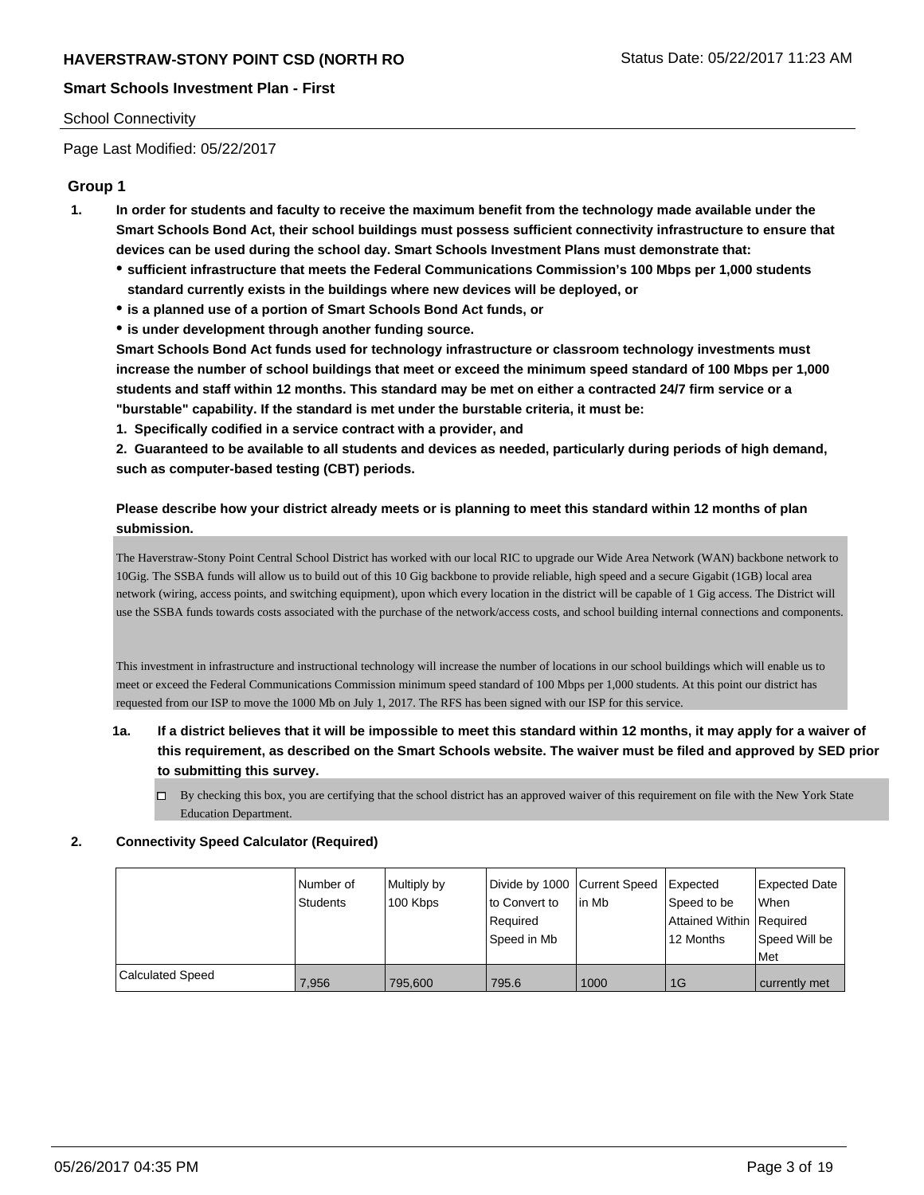### School Connectivity

Page Last Modified: 05/22/2017

## **Group 1**

- **1. In order for students and faculty to receive the maximum benefit from the technology made available under the Smart Schools Bond Act, their school buildings must possess sufficient connectivity infrastructure to ensure that devices can be used during the school day. Smart Schools Investment Plans must demonstrate that:**
	- **sufficient infrastructure that meets the Federal Communications Commission's 100 Mbps per 1,000 students standard currently exists in the buildings where new devices will be deployed, or**
	- **is a planned use of a portion of Smart Schools Bond Act funds, or**
	- **is under development through another funding source.**

**Smart Schools Bond Act funds used for technology infrastructure or classroom technology investments must increase the number of school buildings that meet or exceed the minimum speed standard of 100 Mbps per 1,000 students and staff within 12 months. This standard may be met on either a contracted 24/7 firm service or a "burstable" capability. If the standard is met under the burstable criteria, it must be:**

**1. Specifically codified in a service contract with a provider, and**

**2. Guaranteed to be available to all students and devices as needed, particularly during periods of high demand, such as computer-based testing (CBT) periods.**

## **Please describe how your district already meets or is planning to meet this standard within 12 months of plan submission.**

The Haverstraw-Stony Point Central School District has worked with our local RIC to upgrade our Wide Area Network (WAN) backbone network to 10Gig. The SSBA funds will allow us to build out of this 10 Gig backbone to provide reliable, high speed and a secure Gigabit (1GB) local area network (wiring, access points, and switching equipment), upon which every location in the district will be capable of 1 Gig access. The District will use the SSBA funds towards costs associated with the purchase of the network/access costs, and school building internal connections and components.

This investment in infrastructure and instructional technology will increase the number of locations in our school buildings which will enable us to meet or exceed the Federal Communications Commission minimum speed standard of 100 Mbps per 1,000 students. At this point our district has requested from our ISP to move the 1000 Mb on July 1, 2017. The RFS has been signed with our ISP for this service.

# **1a. If a district believes that it will be impossible to meet this standard within 12 months, it may apply for a waiver of this requirement, as described on the Smart Schools website. The waiver must be filed and approved by SED prior to submitting this survey.**

By checking this box, you are certifying that the school district has an approved waiver of this requirement on file with the New York State Education Department.

### **2. Connectivity Speed Calculator (Required)**

|                         | Number of<br><b>Students</b> | Multiply by<br>100 Kbps | Divide by 1000 Current Speed<br>lto Convert to<br>Reauired<br>Speed in Mb | l in Mb | Expected<br>lSpeed to be<br>Attained Within   Required<br>12 Months | Expected Date<br>When<br>l Speed Will be<br>Met |
|-------------------------|------------------------------|-------------------------|---------------------------------------------------------------------------|---------|---------------------------------------------------------------------|-------------------------------------------------|
| <b>Calculated Speed</b> | 7,956                        | 795.600                 | 795.6                                                                     | 1000    | 1G                                                                  | currently met                                   |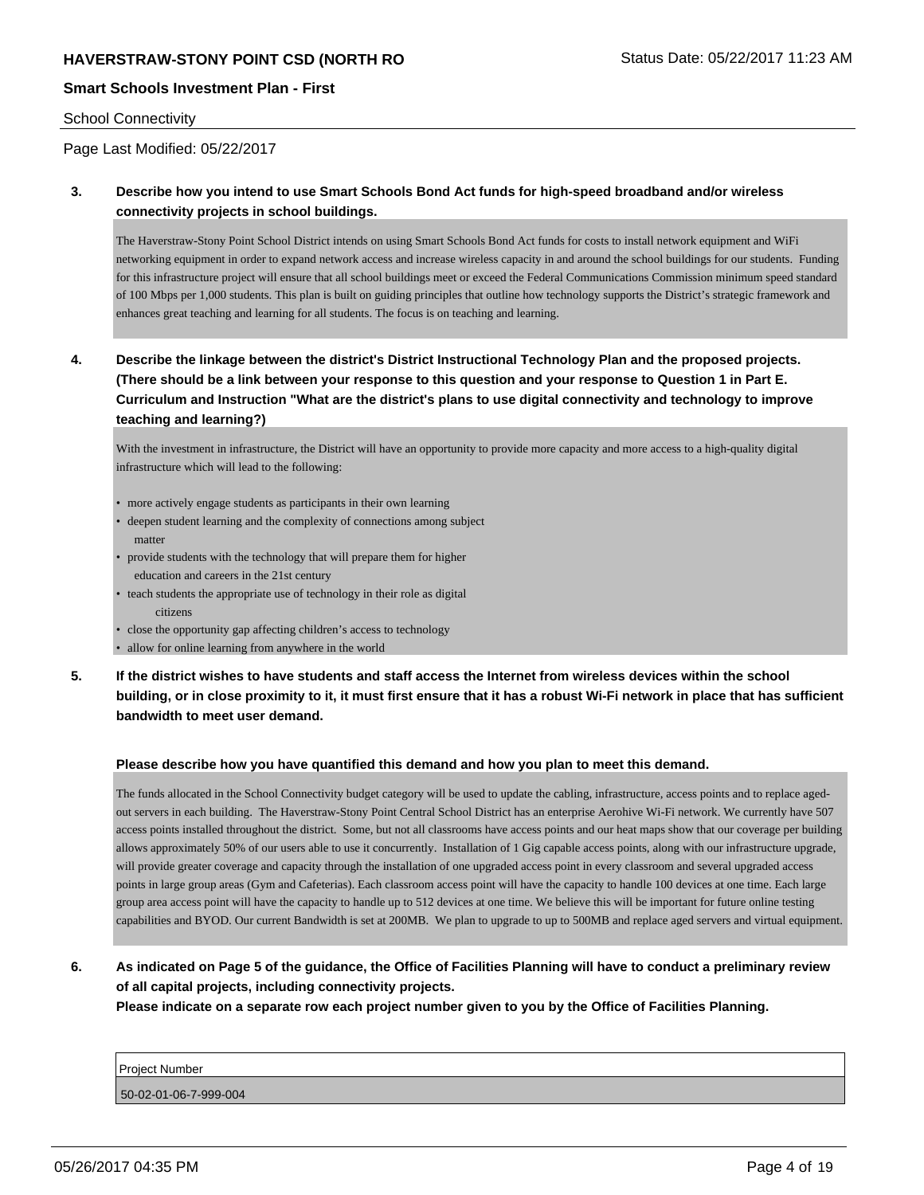### **Smart Schools Investment Plan - First**

### School Connectivity

Page Last Modified: 05/22/2017

## **3. Describe how you intend to use Smart Schools Bond Act funds for high-speed broadband and/or wireless connectivity projects in school buildings.**

The Haverstraw-Stony Point School District intends on using Smart Schools Bond Act funds for costs to install network equipment and WiFi networking equipment in order to expand network access and increase wireless capacity in and around the school buildings for our students. Funding for this infrastructure project will ensure that all school buildings meet or exceed the Federal Communications Commission minimum speed standard of 100 Mbps per 1,000 students. This plan is built on guiding principles that outline how technology supports the District's strategic framework and enhances great teaching and learning for all students. The focus is on teaching and learning.

**4. Describe the linkage between the district's District Instructional Technology Plan and the proposed projects. (There should be a link between your response to this question and your response to Question 1 in Part E. Curriculum and Instruction "What are the district's plans to use digital connectivity and technology to improve teaching and learning?)**

With the investment in infrastructure, the District will have an opportunity to provide more capacity and more access to a high-quality digital infrastructure which will lead to the following:

- more actively engage students as participants in their own learning
- deepen student learning and the complexity of connections among subject matter
- provide students with the technology that will prepare them for higher education and careers in the 21st century
- teach students the appropriate use of technology in their role as digital citizens
- close the opportunity gap affecting children's access to technology
- allow for online learning from anywhere in the world
- **5. If the district wishes to have students and staff access the Internet from wireless devices within the school building, or in close proximity to it, it must first ensure that it has a robust Wi-Fi network in place that has sufficient bandwidth to meet user demand.**

### **Please describe how you have quantified this demand and how you plan to meet this demand.**

The funds allocated in the School Connectivity budget category will be used to update the cabling, infrastructure, access points and to replace agedout servers in each building. The Haverstraw-Stony Point Central School District has an enterprise Aerohive Wi-Fi network. We currently have 507 access points installed throughout the district. Some, but not all classrooms have access points and our heat maps show that our coverage per building allows approximately 50% of our users able to use it concurrently. Installation of 1 Gig capable access points, along with our infrastructure upgrade, will provide greater coverage and capacity through the installation of one upgraded access point in every classroom and several upgraded access points in large group areas (Gym and Cafeterias). Each classroom access point will have the capacity to handle 100 devices at one time. Each large group area access point will have the capacity to handle up to 512 devices at one time. We believe this will be important for future online testing capabilities and BYOD. Our current Bandwidth is set at 200MB. We plan to upgrade to up to 500MB and replace aged servers and virtual equipment.

## **6. As indicated on Page 5 of the guidance, the Office of Facilities Planning will have to conduct a preliminary review of all capital projects, including connectivity projects.**

**Please indicate on a separate row each project number given to you by the Office of Facilities Planning.**

| <b>Project Number</b> |  |
|-----------------------|--|
|                       |  |
| 50-02-01-06-7-999-004 |  |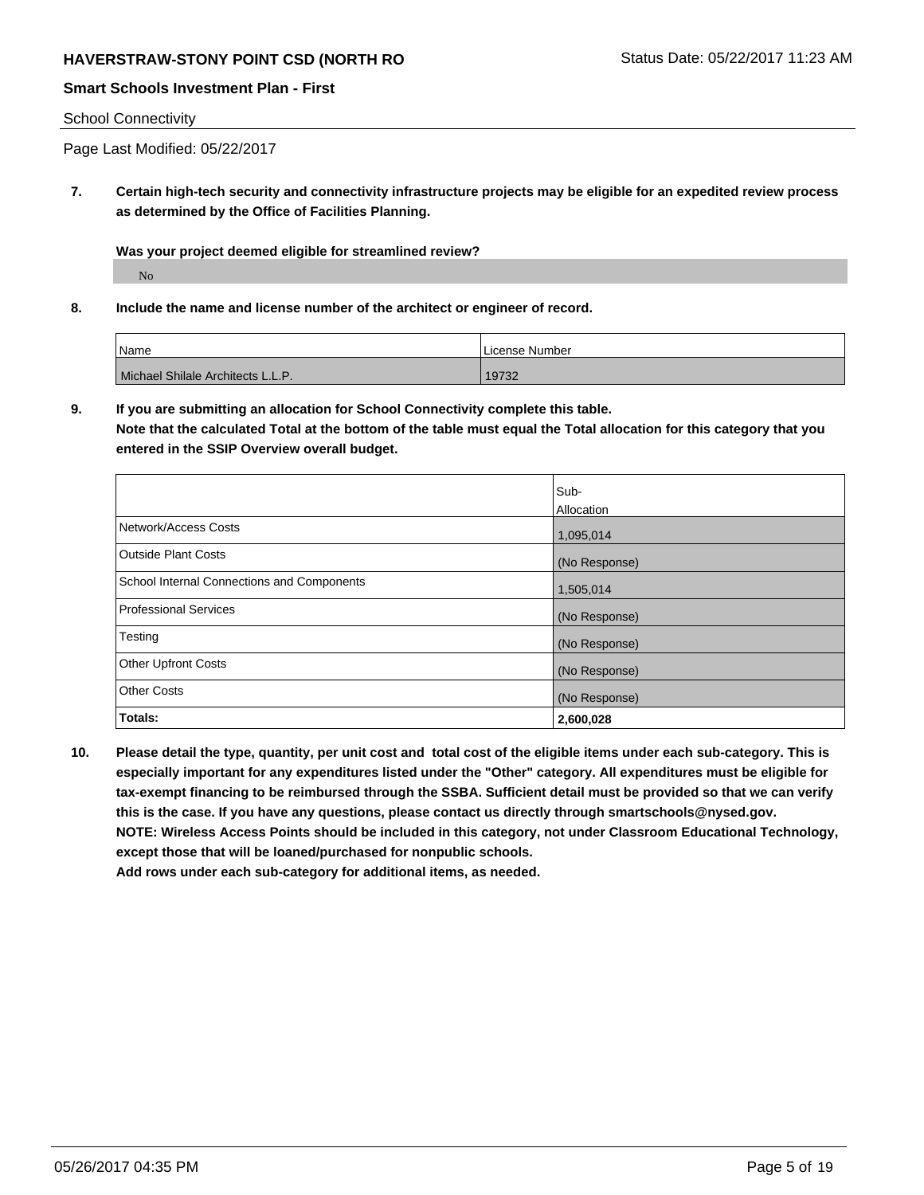## **Smart Schools Investment Plan - First**

### School Connectivity

Page Last Modified: 05/22/2017

**7. Certain high-tech security and connectivity infrastructure projects may be eligible for an expedited review process as determined by the Office of Facilities Planning.**

**Was your project deemed eligible for streamlined review?**

No

**8. Include the name and license number of the architect or engineer of record.**

| Name                              | License Number |
|-----------------------------------|----------------|
| Michael Shilale Architects L.L.P. | 19732          |

**9. If you are submitting an allocation for School Connectivity complete this table. Note that the calculated Total at the bottom of the table must equal the Total allocation for this category that you entered in the SSIP Overview overall budget.** 

|                                                   | lSub-             |
|---------------------------------------------------|-------------------|
|                                                   | <b>Allocation</b> |
| Network/Access Costs                              | 1,095,014         |
| Outside Plant Costs                               | (No Response)     |
| <b>School Internal Connections and Components</b> | 1,505,014         |
| <b>Professional Services</b>                      | (No Response)     |
| Testing                                           | (No Response)     |
| <b>Other Upfront Costs</b>                        | (No Response)     |
| <b>Other Costs</b>                                | (No Response)     |
| Totals:                                           | 2,600,028         |

**10. Please detail the type, quantity, per unit cost and total cost of the eligible items under each sub-category. This is especially important for any expenditures listed under the "Other" category. All expenditures must be eligible for tax-exempt financing to be reimbursed through the SSBA. Sufficient detail must be provided so that we can verify this is the case. If you have any questions, please contact us directly through smartschools@nysed.gov. NOTE: Wireless Access Points should be included in this category, not under Classroom Educational Technology, except those that will be loaned/purchased for nonpublic schools.**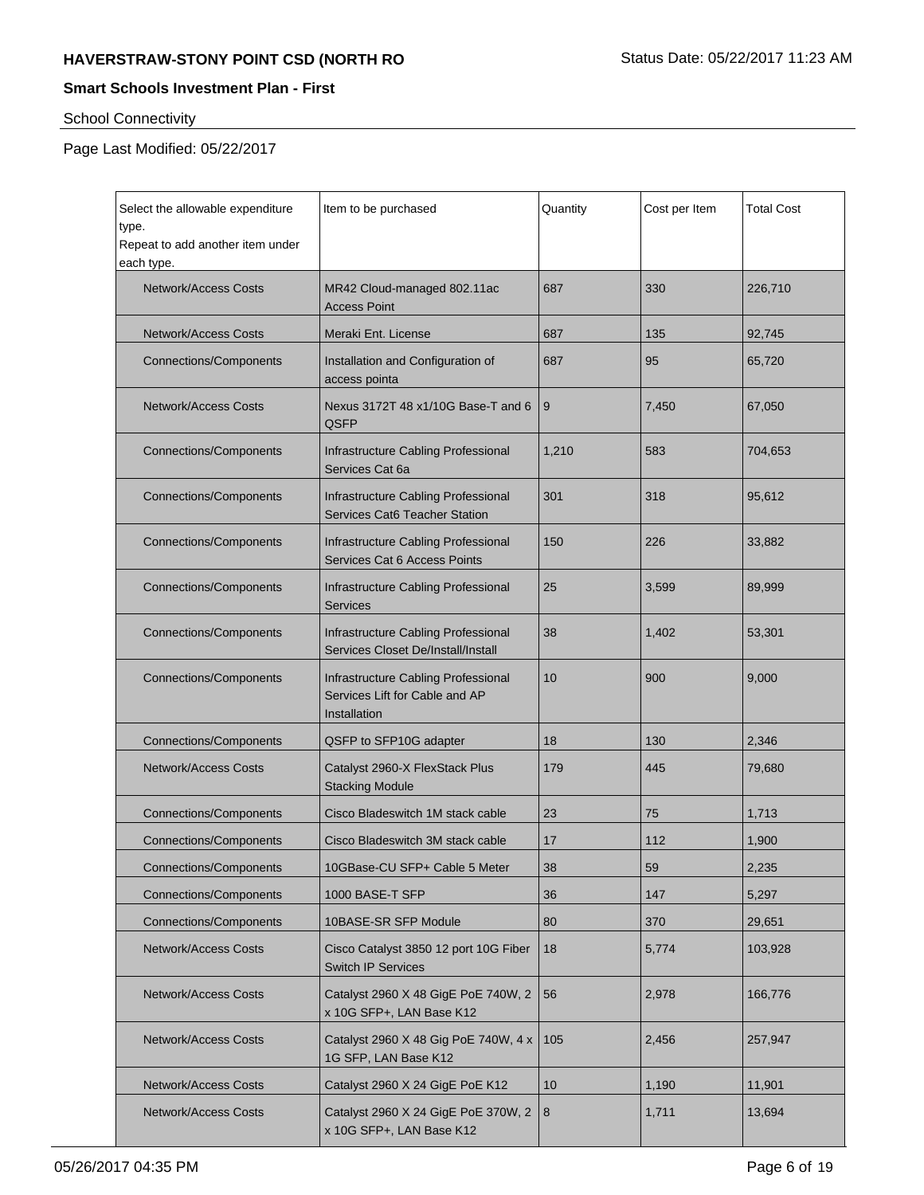# School Connectivity

Page Last Modified: 05/22/2017

| Select the allowable expenditure<br>type.<br>Repeat to add another item under<br>each type. | Item to be purchased                                                                  | Quantity | Cost per Item | <b>Total Cost</b> |
|---------------------------------------------------------------------------------------------|---------------------------------------------------------------------------------------|----------|---------------|-------------------|
| <b>Network/Access Costs</b>                                                                 | MR42 Cloud-managed 802.11ac<br><b>Access Point</b>                                    | 687      | 330           | 226,710           |
| <b>Network/Access Costs</b>                                                                 | Meraki Ent. License                                                                   | 687      | 135           | 92,745            |
| <b>Connections/Components</b>                                                               | Installation and Configuration of<br>access pointa                                    | 687      | 95            | 65,720            |
| <b>Network/Access Costs</b>                                                                 | Nexus 3172T 48 x1/10G Base-T and 6<br>QSFP                                            | 9        | 7,450         | 67,050            |
| <b>Connections/Components</b>                                                               | Infrastructure Cabling Professional<br>Services Cat 6a                                | 1,210    | 583           | 704,653           |
| <b>Connections/Components</b>                                                               | Infrastructure Cabling Professional<br><b>Services Cat6 Teacher Station</b>           | 301      | 318           | 95,612            |
| <b>Connections/Components</b>                                                               | Infrastructure Cabling Professional<br>Services Cat 6 Access Points                   | 150      | 226           | 33,882            |
| <b>Connections/Components</b>                                                               | Infrastructure Cabling Professional<br><b>Services</b>                                | 25       | 3,599         | 89,999            |
| <b>Connections/Components</b>                                                               | Infrastructure Cabling Professional<br>Services Closet De/Install/Install             | 38       | 1,402         | 53,301            |
| <b>Connections/Components</b>                                                               | Infrastructure Cabling Professional<br>Services Lift for Cable and AP<br>Installation | 10       | 900           | 9,000             |
| <b>Connections/Components</b>                                                               | QSFP to SFP10G adapter                                                                | 18       | 130           | 2,346             |
| <b>Network/Access Costs</b>                                                                 | Catalyst 2960-X FlexStack Plus<br><b>Stacking Module</b>                              | 179      | 445           | 79,680            |
| <b>Connections/Components</b>                                                               | Cisco Bladeswitch 1M stack cable                                                      | 23       | 75            | 1,713             |
| <b>Connections/Components</b>                                                               | Cisco Bladeswitch 3M stack cable                                                      | 17       | 112           | 1,900             |
| <b>Connections/Components</b>                                                               | 10GBase-CU SFP+ Cable 5 Meter                                                         | 38       | 59            | 2,235             |
| <b>Connections/Components</b>                                                               | 1000 BASE-T SFP                                                                       | 36       | 147           | 5,297             |
| <b>Connections/Components</b>                                                               | 10BASE-SR SFP Module                                                                  | 80       | 370           | 29,651            |
| Network/Access Costs                                                                        | Cisco Catalyst 3850 12 port 10G Fiber<br><b>Switch IP Services</b>                    | 18       | 5.774         | 103,928           |
| Network/Access Costs                                                                        | Catalyst 2960 X 48 GigE PoE 740W, 2<br>x 10G SFP+, LAN Base K12                       | 56       | 2,978         | 166.776           |
| <b>Network/Access Costs</b>                                                                 | Catalyst 2960 X 48 Gig PoE 740W, 4 x<br>1G SFP, LAN Base K12                          | 105      | 2,456         | 257,947           |
| Network/Access Costs                                                                        | Catalyst 2960 X 24 GigE PoE K12                                                       | 10       | 1,190         | 11,901            |
| <b>Network/Access Costs</b>                                                                 | Catalyst 2960 X 24 GigE PoE 370W, 2<br>x 10G SFP+, LAN Base K12                       | 8        | 1,711         | 13,694            |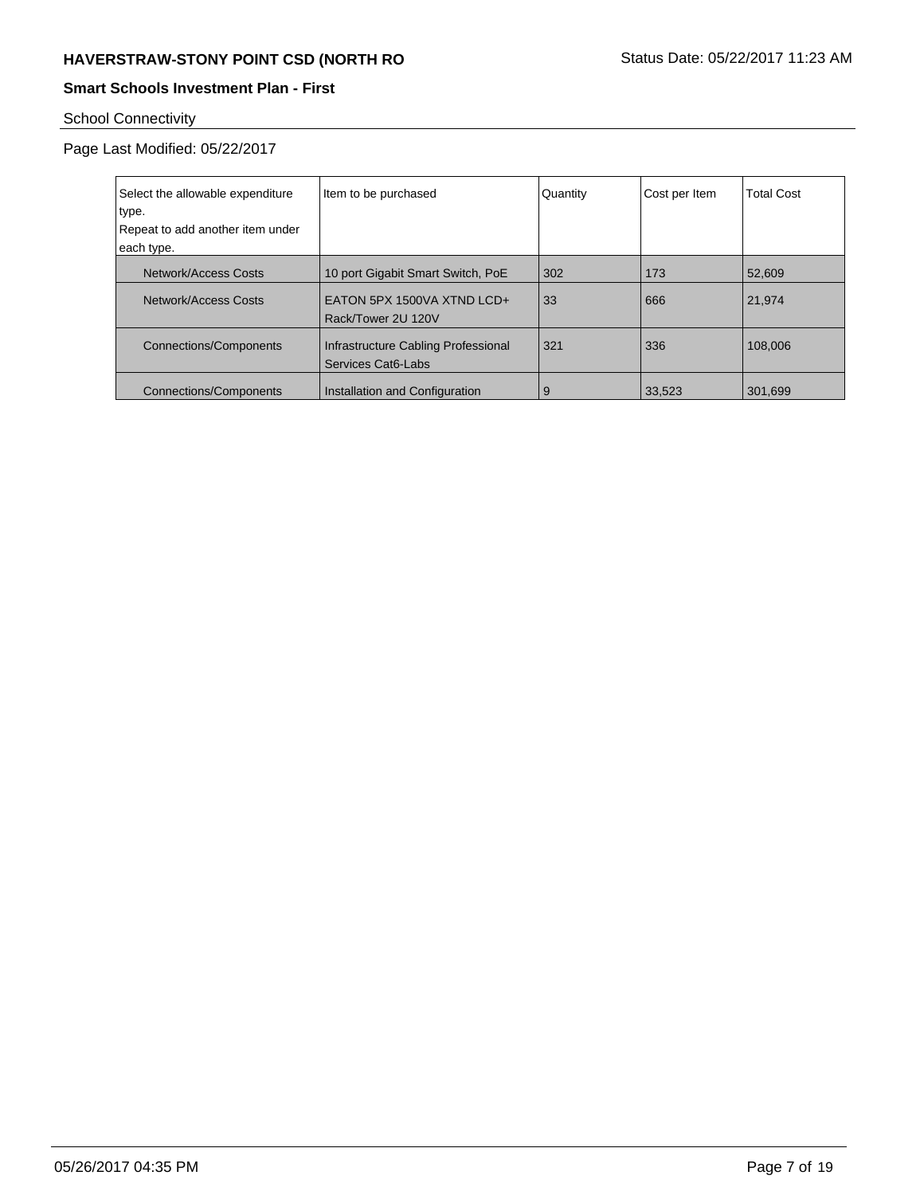# **Smart Schools Investment Plan - First**

# School Connectivity

Page Last Modified: 05/22/2017

| Select the allowable expenditure<br>type. | Item to be purchased                                      | Quantity | Cost per Item | <b>Total Cost</b> |
|-------------------------------------------|-----------------------------------------------------------|----------|---------------|-------------------|
| Repeat to add another item under          |                                                           |          |               |                   |
| each type.                                |                                                           |          |               |                   |
| Network/Access Costs                      | 10 port Gigabit Smart Switch, PoE                         | 302      | 173           | 52.609            |
| Network/Access Costs                      | EATON 5PX 1500VA XTND LCD+<br>Rack/Tower 2U 120V          | 33       | 666           | 21.974            |
| <b>Connections/Components</b>             | Infrastructure Cabling Professional<br>Services Cat6-Labs | 321      | 336           | 108,006           |
| <b>Connections/Components</b>             | Installation and Configuration                            | 9        | 33,523        | 301,699           |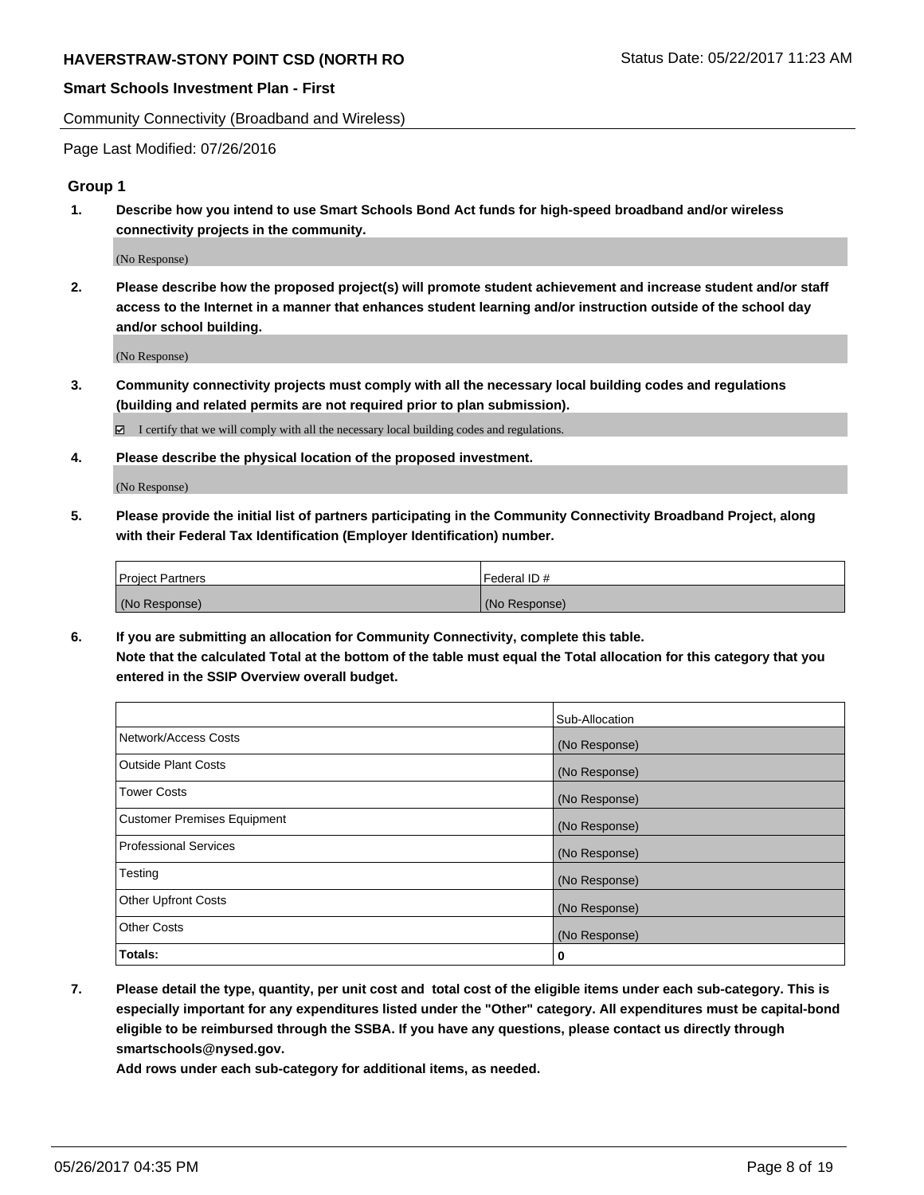### **Smart Schools Investment Plan - First**

Community Connectivity (Broadband and Wireless)

Page Last Modified: 07/26/2016

## **Group 1**

**1. Describe how you intend to use Smart Schools Bond Act funds for high-speed broadband and/or wireless connectivity projects in the community.**

(No Response)

**2. Please describe how the proposed project(s) will promote student achievement and increase student and/or staff access to the Internet in a manner that enhances student learning and/or instruction outside of the school day and/or school building.**

(No Response)

**3. Community connectivity projects must comply with all the necessary local building codes and regulations (building and related permits are not required prior to plan submission).**

 $\boxtimes$  I certify that we will comply with all the necessary local building codes and regulations.

**4. Please describe the physical location of the proposed investment.**

(No Response)

**5. Please provide the initial list of partners participating in the Community Connectivity Broadband Project, along with their Federal Tax Identification (Employer Identification) number.**

| <b>Project Partners</b> | Federal ID#     |
|-------------------------|-----------------|
| (No Response)           | l (No Response) |

**6. If you are submitting an allocation for Community Connectivity, complete this table. Note that the calculated Total at the bottom of the table must equal the Total allocation for this category that you entered in the SSIP Overview overall budget.**

|                                    | Sub-Allocation |
|------------------------------------|----------------|
| Network/Access Costs               | (No Response)  |
| Outside Plant Costs                | (No Response)  |
| <b>Tower Costs</b>                 | (No Response)  |
| <b>Customer Premises Equipment</b> | (No Response)  |
| <b>Professional Services</b>       | (No Response)  |
| Testing                            | (No Response)  |
| <b>Other Upfront Costs</b>         | (No Response)  |
| <b>Other Costs</b>                 | (No Response)  |
| Totals:                            | 0              |

**7. Please detail the type, quantity, per unit cost and total cost of the eligible items under each sub-category. This is especially important for any expenditures listed under the "Other" category. All expenditures must be capital-bond eligible to be reimbursed through the SSBA. If you have any questions, please contact us directly through smartschools@nysed.gov.**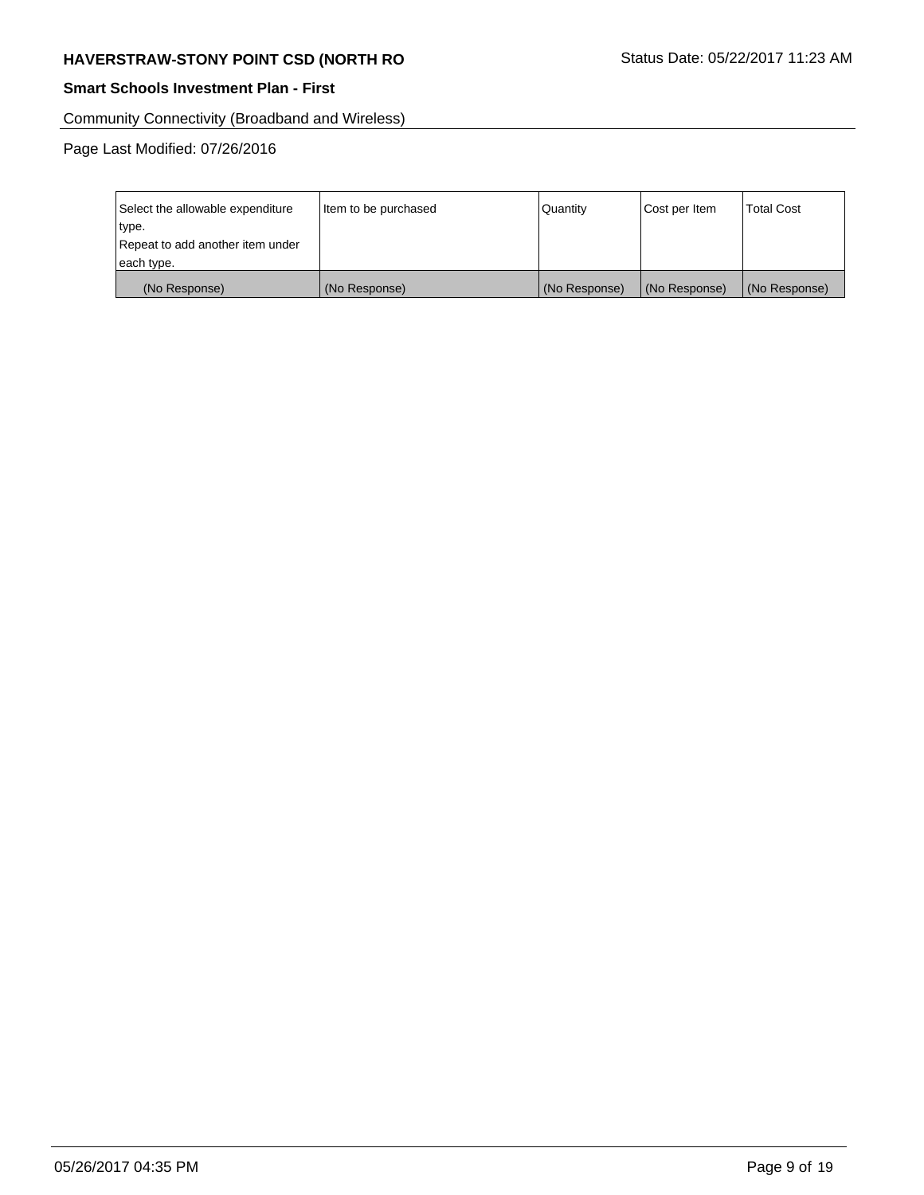# **Smart Schools Investment Plan - First**

Community Connectivity (Broadband and Wireless)

Page Last Modified: 07/26/2016

| Select the allowable expenditure | Item to be purchased | Quantity      | Cost per Item | <b>Total Cost</b> |
|----------------------------------|----------------------|---------------|---------------|-------------------|
| type.                            |                      |               |               |                   |
| Repeat to add another item under |                      |               |               |                   |
| each type.                       |                      |               |               |                   |
| (No Response)                    | (No Response)        | (No Response) | (No Response) | (No Response)     |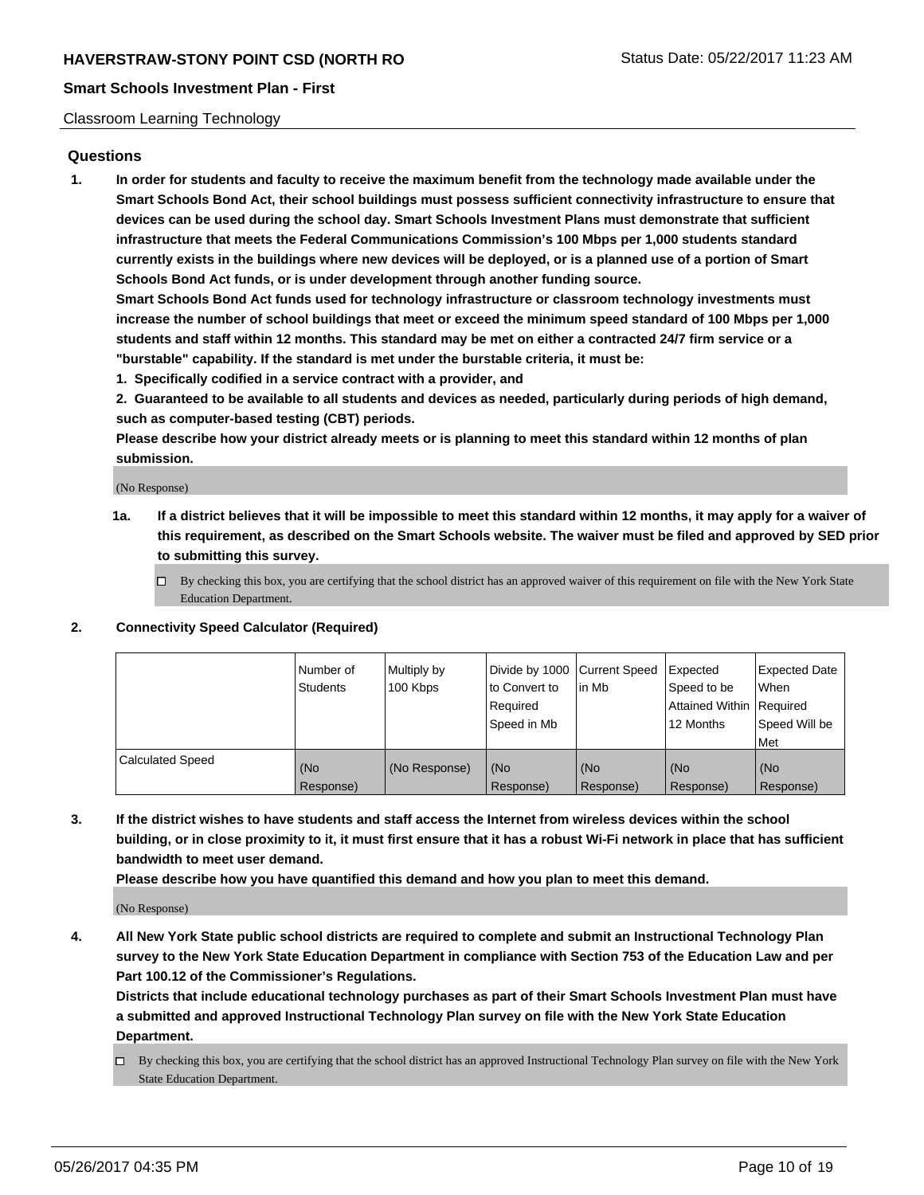### Classroom Learning Technology

### **Questions**

**1. In order for students and faculty to receive the maximum benefit from the technology made available under the Smart Schools Bond Act, their school buildings must possess sufficient connectivity infrastructure to ensure that devices can be used during the school day. Smart Schools Investment Plans must demonstrate that sufficient infrastructure that meets the Federal Communications Commission's 100 Mbps per 1,000 students standard currently exists in the buildings where new devices will be deployed, or is a planned use of a portion of Smart Schools Bond Act funds, or is under development through another funding source.**

**Smart Schools Bond Act funds used for technology infrastructure or classroom technology investments must increase the number of school buildings that meet or exceed the minimum speed standard of 100 Mbps per 1,000 students and staff within 12 months. This standard may be met on either a contracted 24/7 firm service or a "burstable" capability. If the standard is met under the burstable criteria, it must be:**

**1. Specifically codified in a service contract with a provider, and**

**2. Guaranteed to be available to all students and devices as needed, particularly during periods of high demand, such as computer-based testing (CBT) periods.**

**Please describe how your district already meets or is planning to meet this standard within 12 months of plan submission.**

(No Response)

- **1a. If a district believes that it will be impossible to meet this standard within 12 months, it may apply for a waiver of this requirement, as described on the Smart Schools website. The waiver must be filed and approved by SED prior to submitting this survey.**
	- $\Box$  By checking this box, you are certifying that the school district has an approved waiver of this requirement on file with the New York State Education Department.

#### **2. Connectivity Speed Calculator (Required)**

|                         | Number of<br><b>Students</b> | Multiply by<br>100 Kbps | Divide by 1000 Current Speed<br>to Convert to<br>Required<br>l Speed in Mb | in Mb                        | Expected<br>Speed to be<br>Attained Within   Required<br>12 Months | <b>Expected Date</b><br><b>When</b><br>Speed Will be<br>Met |
|-------------------------|------------------------------|-------------------------|----------------------------------------------------------------------------|------------------------------|--------------------------------------------------------------------|-------------------------------------------------------------|
| <b>Calculated Speed</b> | (No<br>Response)             | (No Response)           | l (No<br>Response)                                                         | KN <sub>O</sub><br>Response) | (No<br>Response)                                                   | (No<br>Response)                                            |

**3. If the district wishes to have students and staff access the Internet from wireless devices within the school building, or in close proximity to it, it must first ensure that it has a robust Wi-Fi network in place that has sufficient bandwidth to meet user demand.**

**Please describe how you have quantified this demand and how you plan to meet this demand.**

(No Response)

**4. All New York State public school districts are required to complete and submit an Instructional Technology Plan survey to the New York State Education Department in compliance with Section 753 of the Education Law and per Part 100.12 of the Commissioner's Regulations.**

**Districts that include educational technology purchases as part of their Smart Schools Investment Plan must have a submitted and approved Instructional Technology Plan survey on file with the New York State Education Department.**

By checking this box, you are certifying that the school district has an approved Instructional Technology Plan survey on file with the New York State Education Department.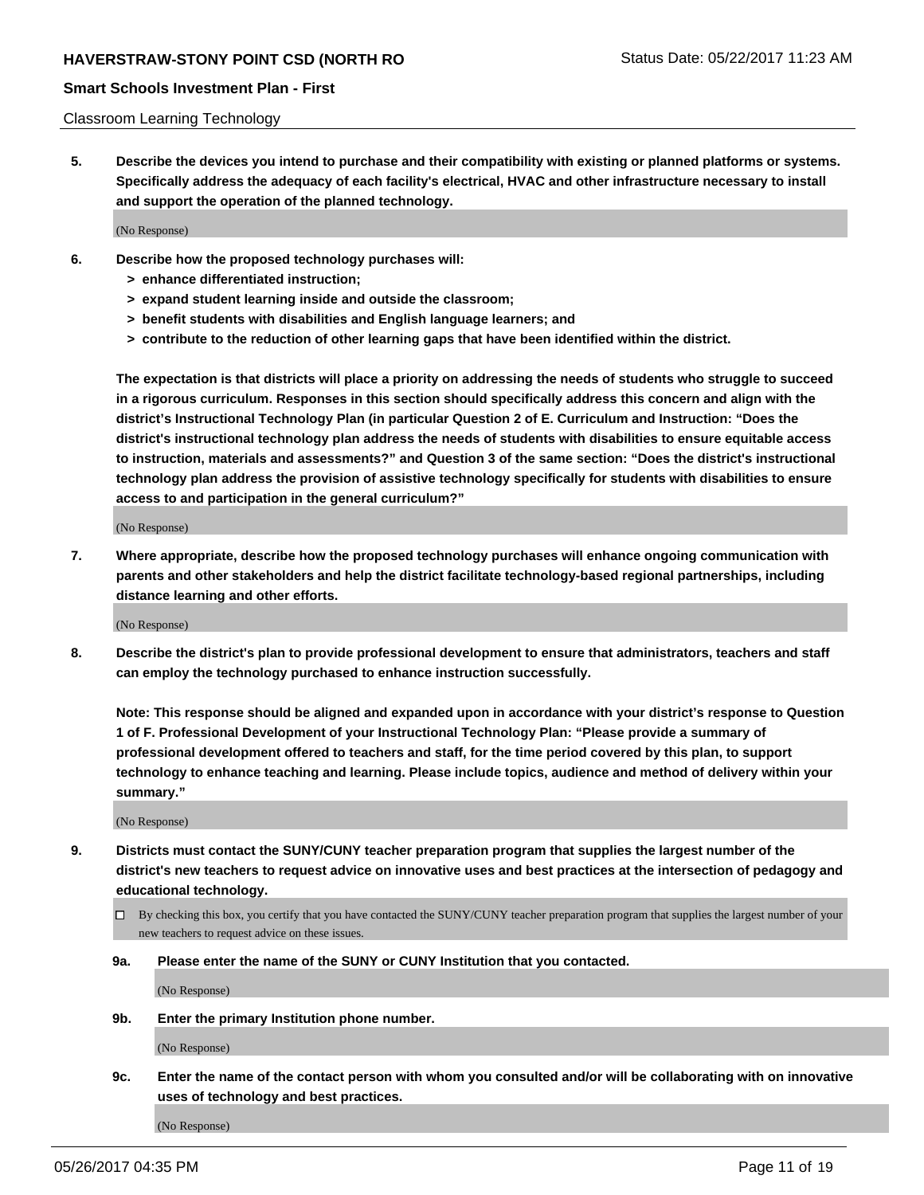### **Smart Schools Investment Plan - First**

#### Classroom Learning Technology

**5. Describe the devices you intend to purchase and their compatibility with existing or planned platforms or systems. Specifically address the adequacy of each facility's electrical, HVAC and other infrastructure necessary to install and support the operation of the planned technology.**

(No Response)

- **6. Describe how the proposed technology purchases will:**
	- **> enhance differentiated instruction;**
	- **> expand student learning inside and outside the classroom;**
	- **> benefit students with disabilities and English language learners; and**
	- **> contribute to the reduction of other learning gaps that have been identified within the district.**

**The expectation is that districts will place a priority on addressing the needs of students who struggle to succeed in a rigorous curriculum. Responses in this section should specifically address this concern and align with the district's Instructional Technology Plan (in particular Question 2 of E. Curriculum and Instruction: "Does the district's instructional technology plan address the needs of students with disabilities to ensure equitable access to instruction, materials and assessments?" and Question 3 of the same section: "Does the district's instructional technology plan address the provision of assistive technology specifically for students with disabilities to ensure access to and participation in the general curriculum?"**

(No Response)

**7. Where appropriate, describe how the proposed technology purchases will enhance ongoing communication with parents and other stakeholders and help the district facilitate technology-based regional partnerships, including distance learning and other efforts.**

(No Response)

**8. Describe the district's plan to provide professional development to ensure that administrators, teachers and staff can employ the technology purchased to enhance instruction successfully.**

**Note: This response should be aligned and expanded upon in accordance with your district's response to Question 1 of F. Professional Development of your Instructional Technology Plan: "Please provide a summary of professional development offered to teachers and staff, for the time period covered by this plan, to support technology to enhance teaching and learning. Please include topics, audience and method of delivery within your summary."**

(No Response)

- **9. Districts must contact the SUNY/CUNY teacher preparation program that supplies the largest number of the district's new teachers to request advice on innovative uses and best practices at the intersection of pedagogy and educational technology.**
	- By checking this box, you certify that you have contacted the SUNY/CUNY teacher preparation program that supplies the largest number of your new teachers to request advice on these issues.
	- **9a. Please enter the name of the SUNY or CUNY Institution that you contacted.**

(No Response)

**9b. Enter the primary Institution phone number.**

(No Response)

**9c. Enter the name of the contact person with whom you consulted and/or will be collaborating with on innovative uses of technology and best practices.**

(No Response)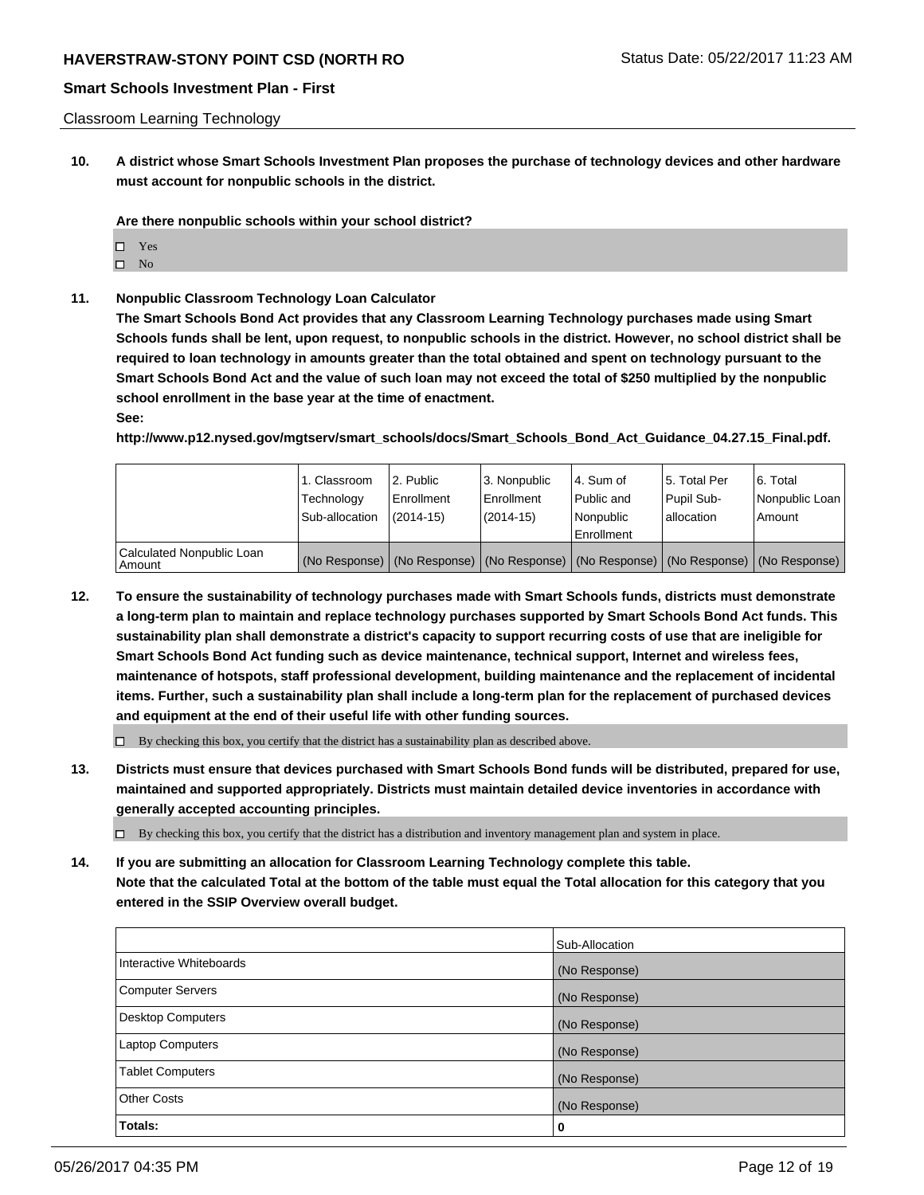### **Smart Schools Investment Plan - First**

Classroom Learning Technology

**10. A district whose Smart Schools Investment Plan proposes the purchase of technology devices and other hardware must account for nonpublic schools in the district.**

**Are there nonpublic schools within your school district?**

- □ Yes
- $\square$  No
- **11. Nonpublic Classroom Technology Loan Calculator**

**The Smart Schools Bond Act provides that any Classroom Learning Technology purchases made using Smart Schools funds shall be lent, upon request, to nonpublic schools in the district. However, no school district shall be required to loan technology in amounts greater than the total obtained and spent on technology pursuant to the Smart Schools Bond Act and the value of such loan may not exceed the total of \$250 multiplied by the nonpublic school enrollment in the base year at the time of enactment.**

### **See:**

**http://www.p12.nysed.gov/mgtserv/smart\_schools/docs/Smart\_Schools\_Bond\_Act\_Guidance\_04.27.15\_Final.pdf.**

|                                     | 1. Classroom<br>Technology<br>Sub-allocation | 2. Public<br>Enrollment<br>(2014-15) | 3. Nonpublic<br>Enrollment<br>(2014-15) | l 4. Sum of<br>Public and<br>l Nonpublic<br>Enrollment                                        | 15. Total Per<br>Pupil Sub-<br>l allocation | l 6. Total<br>Nonpublic Loan<br>l Amount |
|-------------------------------------|----------------------------------------------|--------------------------------------|-----------------------------------------|-----------------------------------------------------------------------------------------------|---------------------------------------------|------------------------------------------|
| Calculated Nonpublic Loan<br>Amount |                                              |                                      |                                         | (No Response)   (No Response)   (No Response)   (No Response)   (No Response)   (No Response) |                                             |                                          |

**12. To ensure the sustainability of technology purchases made with Smart Schools funds, districts must demonstrate a long-term plan to maintain and replace technology purchases supported by Smart Schools Bond Act funds. This sustainability plan shall demonstrate a district's capacity to support recurring costs of use that are ineligible for Smart Schools Bond Act funding such as device maintenance, technical support, Internet and wireless fees, maintenance of hotspots, staff professional development, building maintenance and the replacement of incidental items. Further, such a sustainability plan shall include a long-term plan for the replacement of purchased devices and equipment at the end of their useful life with other funding sources.**

 $\Box$  By checking this box, you certify that the district has a sustainability plan as described above.

**13. Districts must ensure that devices purchased with Smart Schools Bond funds will be distributed, prepared for use, maintained and supported appropriately. Districts must maintain detailed device inventories in accordance with generally accepted accounting principles.**

By checking this box, you certify that the district has a distribution and inventory management plan and system in place.

**14. If you are submitting an allocation for Classroom Learning Technology complete this table. Note that the calculated Total at the bottom of the table must equal the Total allocation for this category that you entered in the SSIP Overview overall budget.**

|                          | Sub-Allocation |
|--------------------------|----------------|
| Interactive Whiteboards  | (No Response)  |
| <b>Computer Servers</b>  | (No Response)  |
| <b>Desktop Computers</b> | (No Response)  |
| Laptop Computers         | (No Response)  |
| <b>Tablet Computers</b>  | (No Response)  |
| <b>Other Costs</b>       | (No Response)  |
| Totals:                  | 0              |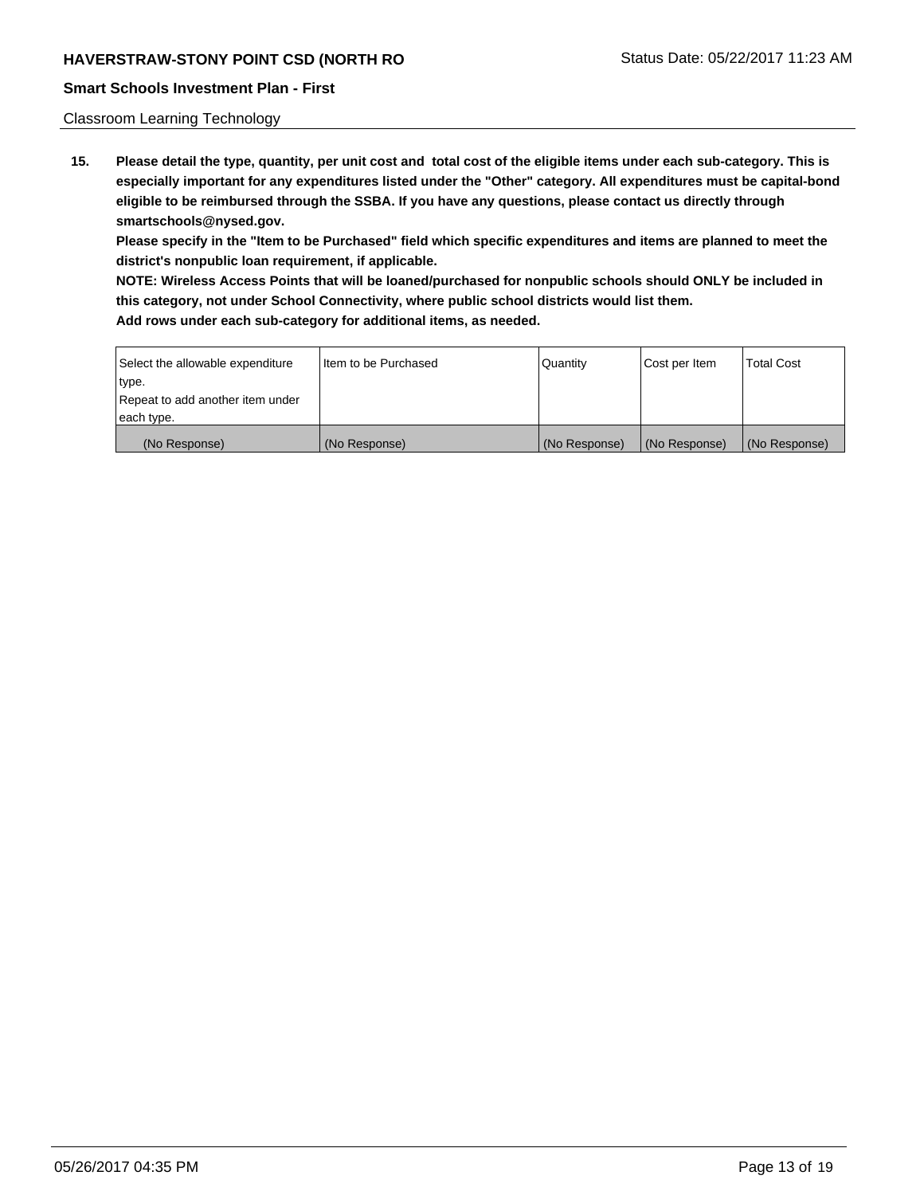## **Smart Schools Investment Plan - First**

### Classroom Learning Technology

**15. Please detail the type, quantity, per unit cost and total cost of the eligible items under each sub-category. This is especially important for any expenditures listed under the "Other" category. All expenditures must be capital-bond eligible to be reimbursed through the SSBA. If you have any questions, please contact us directly through smartschools@nysed.gov.**

**Please specify in the "Item to be Purchased" field which specific expenditures and items are planned to meet the district's nonpublic loan requirement, if applicable.**

**NOTE: Wireless Access Points that will be loaned/purchased for nonpublic schools should ONLY be included in this category, not under School Connectivity, where public school districts would list them.**

| Select the allowable expenditure | I Item to be Purchased | Quantity      | Cost per Item   | <b>Total Cost</b> |
|----------------------------------|------------------------|---------------|-----------------|-------------------|
| type.                            |                        |               |                 |                   |
| Repeat to add another item under |                        |               |                 |                   |
| each type.                       |                        |               |                 |                   |
| (No Response)                    | (No Response)          | (No Response) | l (No Response) | (No Response)     |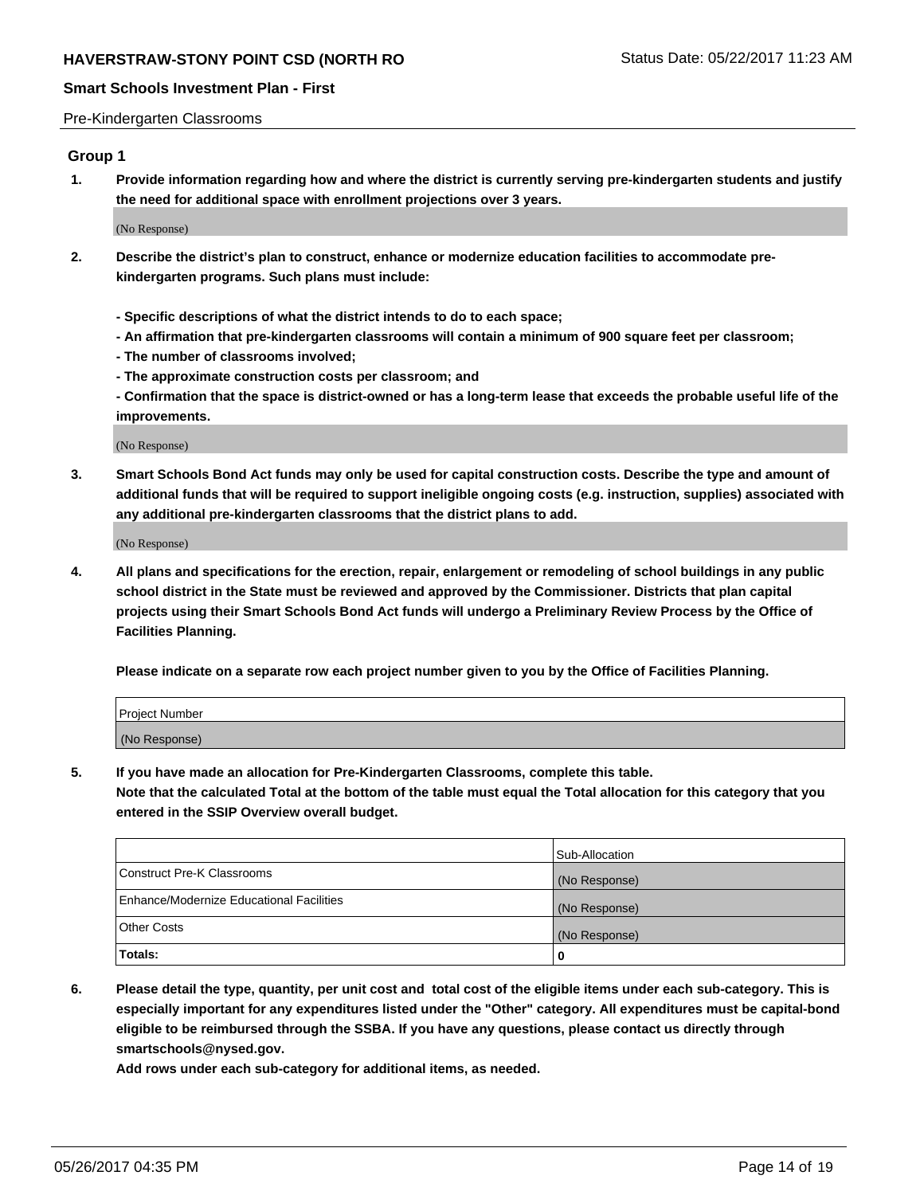#### Pre-Kindergarten Classrooms

### **Group 1**

**1. Provide information regarding how and where the district is currently serving pre-kindergarten students and justify the need for additional space with enrollment projections over 3 years.**

(No Response)

- **2. Describe the district's plan to construct, enhance or modernize education facilities to accommodate prekindergarten programs. Such plans must include:**
	- **Specific descriptions of what the district intends to do to each space;**
	- **An affirmation that pre-kindergarten classrooms will contain a minimum of 900 square feet per classroom;**
	- **The number of classrooms involved;**
	- **The approximate construction costs per classroom; and**

**- Confirmation that the space is district-owned or has a long-term lease that exceeds the probable useful life of the improvements.**

(No Response)

**3. Smart Schools Bond Act funds may only be used for capital construction costs. Describe the type and amount of additional funds that will be required to support ineligible ongoing costs (e.g. instruction, supplies) associated with any additional pre-kindergarten classrooms that the district plans to add.**

(No Response)

**4. All plans and specifications for the erection, repair, enlargement or remodeling of school buildings in any public school district in the State must be reviewed and approved by the Commissioner. Districts that plan capital projects using their Smart Schools Bond Act funds will undergo a Preliminary Review Process by the Office of Facilities Planning.**

**Please indicate on a separate row each project number given to you by the Office of Facilities Planning.**

| Project Number |  |
|----------------|--|
| (No Response)  |  |

**5. If you have made an allocation for Pre-Kindergarten Classrooms, complete this table.**

**Note that the calculated Total at the bottom of the table must equal the Total allocation for this category that you entered in the SSIP Overview overall budget.**

|                                          | Sub-Allocation |
|------------------------------------------|----------------|
| Construct Pre-K Classrooms               | (No Response)  |
| Enhance/Modernize Educational Facilities | (No Response)  |
| Other Costs                              | (No Response)  |
| Totals:                                  | 0              |

**6. Please detail the type, quantity, per unit cost and total cost of the eligible items under each sub-category. This is especially important for any expenditures listed under the "Other" category. All expenditures must be capital-bond eligible to be reimbursed through the SSBA. If you have any questions, please contact us directly through smartschools@nysed.gov.**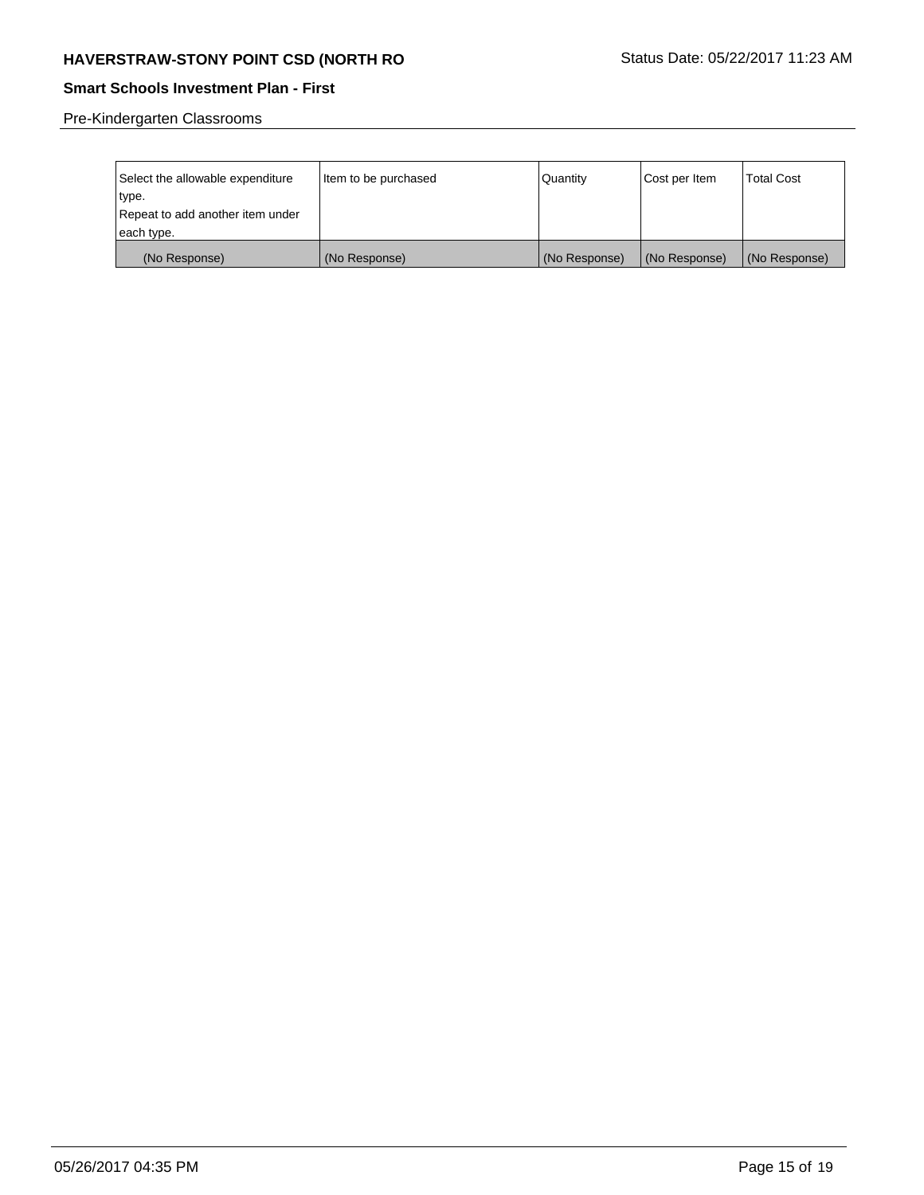## **Smart Schools Investment Plan - First**

Pre-Kindergarten Classrooms

| Select the allowable expenditure<br>type. | Item to be purchased | Quantity      | Cost per Item | <b>Total Cost</b> |
|-------------------------------------------|----------------------|---------------|---------------|-------------------|
| Repeat to add another item under          |                      |               |               |                   |
| each type.                                |                      |               |               |                   |
| (No Response)                             | (No Response)        | (No Response) | (No Response) | (No Response)     |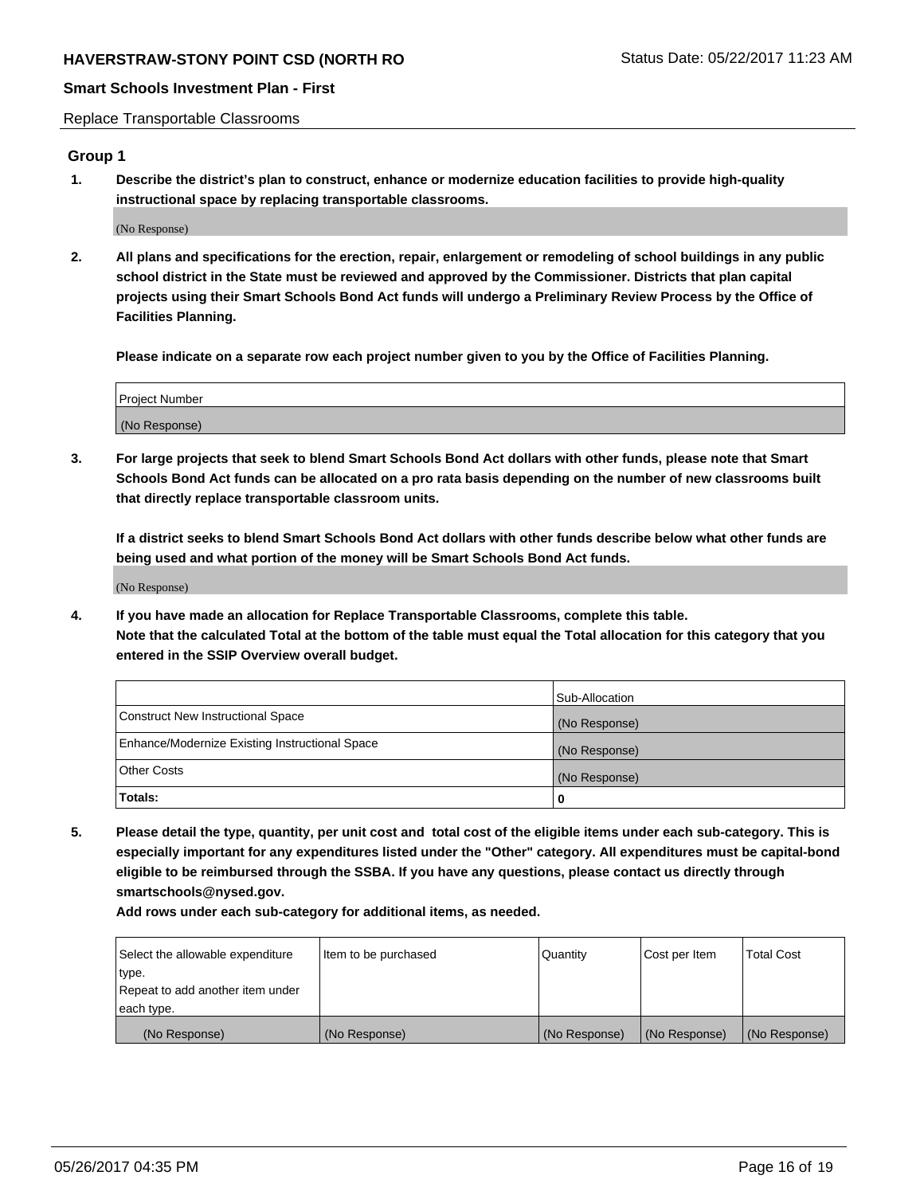Replace Transportable Classrooms

### **Group 1**

**1. Describe the district's plan to construct, enhance or modernize education facilities to provide high-quality instructional space by replacing transportable classrooms.**

(No Response)

**2. All plans and specifications for the erection, repair, enlargement or remodeling of school buildings in any public school district in the State must be reviewed and approved by the Commissioner. Districts that plan capital projects using their Smart Schools Bond Act funds will undergo a Preliminary Review Process by the Office of Facilities Planning.**

**Please indicate on a separate row each project number given to you by the Office of Facilities Planning.**

| Project Number |  |
|----------------|--|
| (No Response)  |  |

**3. For large projects that seek to blend Smart Schools Bond Act dollars with other funds, please note that Smart Schools Bond Act funds can be allocated on a pro rata basis depending on the number of new classrooms built that directly replace transportable classroom units.**

**If a district seeks to blend Smart Schools Bond Act dollars with other funds describe below what other funds are being used and what portion of the money will be Smart Schools Bond Act funds.**

(No Response)

**4. If you have made an allocation for Replace Transportable Classrooms, complete this table. Note that the calculated Total at the bottom of the table must equal the Total allocation for this category that you entered in the SSIP Overview overall budget.**

|                                                | Sub-Allocation |
|------------------------------------------------|----------------|
| Construct New Instructional Space              | (No Response)  |
| Enhance/Modernize Existing Instructional Space | (No Response)  |
| Other Costs                                    | (No Response)  |
| Totals:                                        | 0              |

**5. Please detail the type, quantity, per unit cost and total cost of the eligible items under each sub-category. This is especially important for any expenditures listed under the "Other" category. All expenditures must be capital-bond eligible to be reimbursed through the SSBA. If you have any questions, please contact us directly through smartschools@nysed.gov.**

| Select the allowable expenditure | lltem to be purchased | Quantity      | Cost per Item | <b>Total Cost</b> |
|----------------------------------|-----------------------|---------------|---------------|-------------------|
| type.                            |                       |               |               |                   |
| Repeat to add another item under |                       |               |               |                   |
| each type.                       |                       |               |               |                   |
| (No Response)                    | (No Response)         | (No Response) | (No Response) | (No Response)     |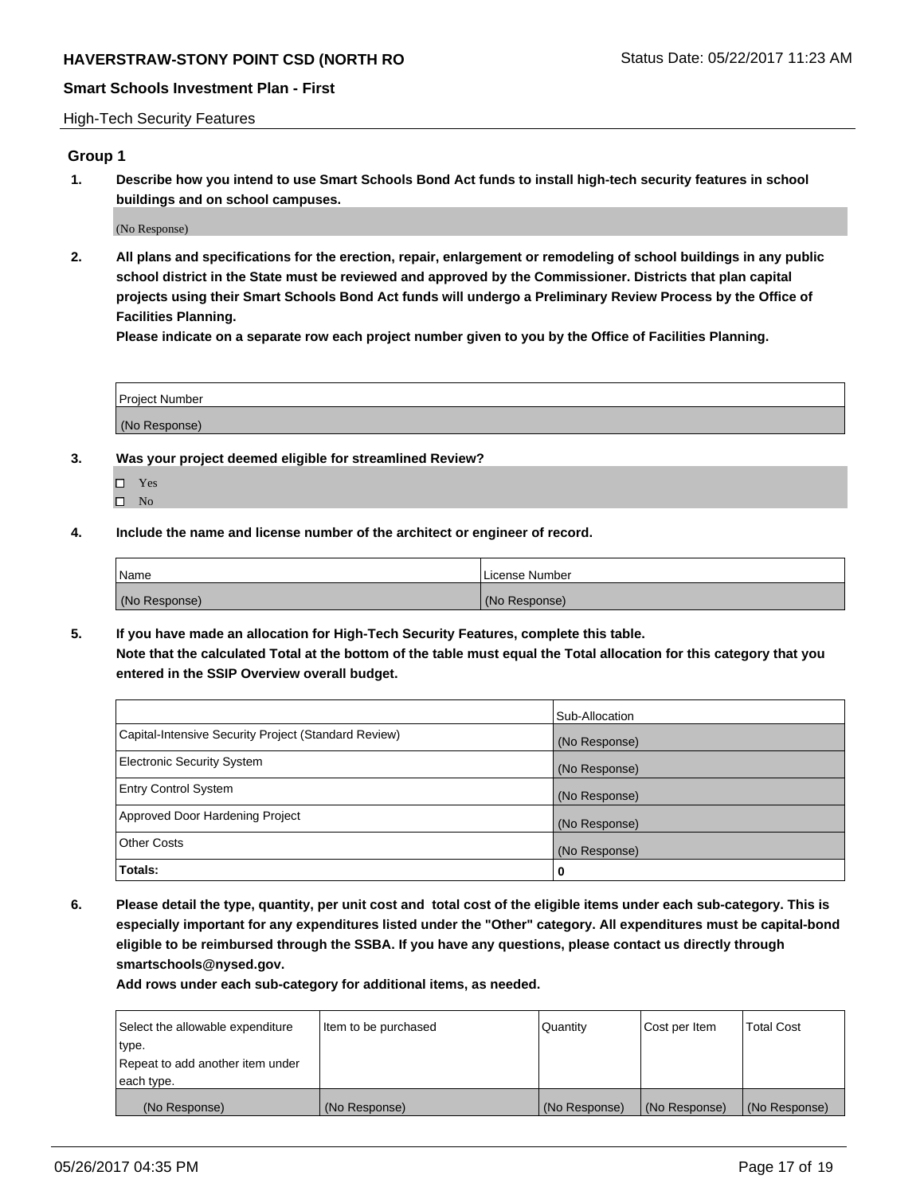High-Tech Security Features

### **Group 1**

**1. Describe how you intend to use Smart Schools Bond Act funds to install high-tech security features in school buildings and on school campuses.**

(No Response)

**2. All plans and specifications for the erection, repair, enlargement or remodeling of school buildings in any public school district in the State must be reviewed and approved by the Commissioner. Districts that plan capital projects using their Smart Schools Bond Act funds will undergo a Preliminary Review Process by the Office of Facilities Planning.** 

**Please indicate on a separate row each project number given to you by the Office of Facilities Planning.**

| <b>Project Number</b> |  |
|-----------------------|--|
| (No Response)         |  |

- **3. Was your project deemed eligible for streamlined Review?**
	- Yes  $\square$  No
- **4. Include the name and license number of the architect or engineer of record.**

| <b>Name</b>   | License Number |
|---------------|----------------|
| (No Response) | (No Response)  |

**5. If you have made an allocation for High-Tech Security Features, complete this table. Note that the calculated Total at the bottom of the table must equal the Total allocation for this category that you entered in the SSIP Overview overall budget.**

|                                                      | Sub-Allocation |
|------------------------------------------------------|----------------|
| Capital-Intensive Security Project (Standard Review) | (No Response)  |
| <b>Electronic Security System</b>                    | (No Response)  |
| <b>Entry Control System</b>                          | (No Response)  |
| Approved Door Hardening Project                      | (No Response)  |
| <b>Other Costs</b>                                   | (No Response)  |
| Totals:                                              | 0              |

**6. Please detail the type, quantity, per unit cost and total cost of the eligible items under each sub-category. This is especially important for any expenditures listed under the "Other" category. All expenditures must be capital-bond eligible to be reimbursed through the SSBA. If you have any questions, please contact us directly through smartschools@nysed.gov.**

| Select the allowable expenditure | Item to be purchased | Quantity      | Cost per Item | <b>Total Cost</b> |
|----------------------------------|----------------------|---------------|---------------|-------------------|
| type.                            |                      |               |               |                   |
| Repeat to add another item under |                      |               |               |                   |
| each type.                       |                      |               |               |                   |
| (No Response)                    | (No Response)        | (No Response) | (No Response) | (No Response)     |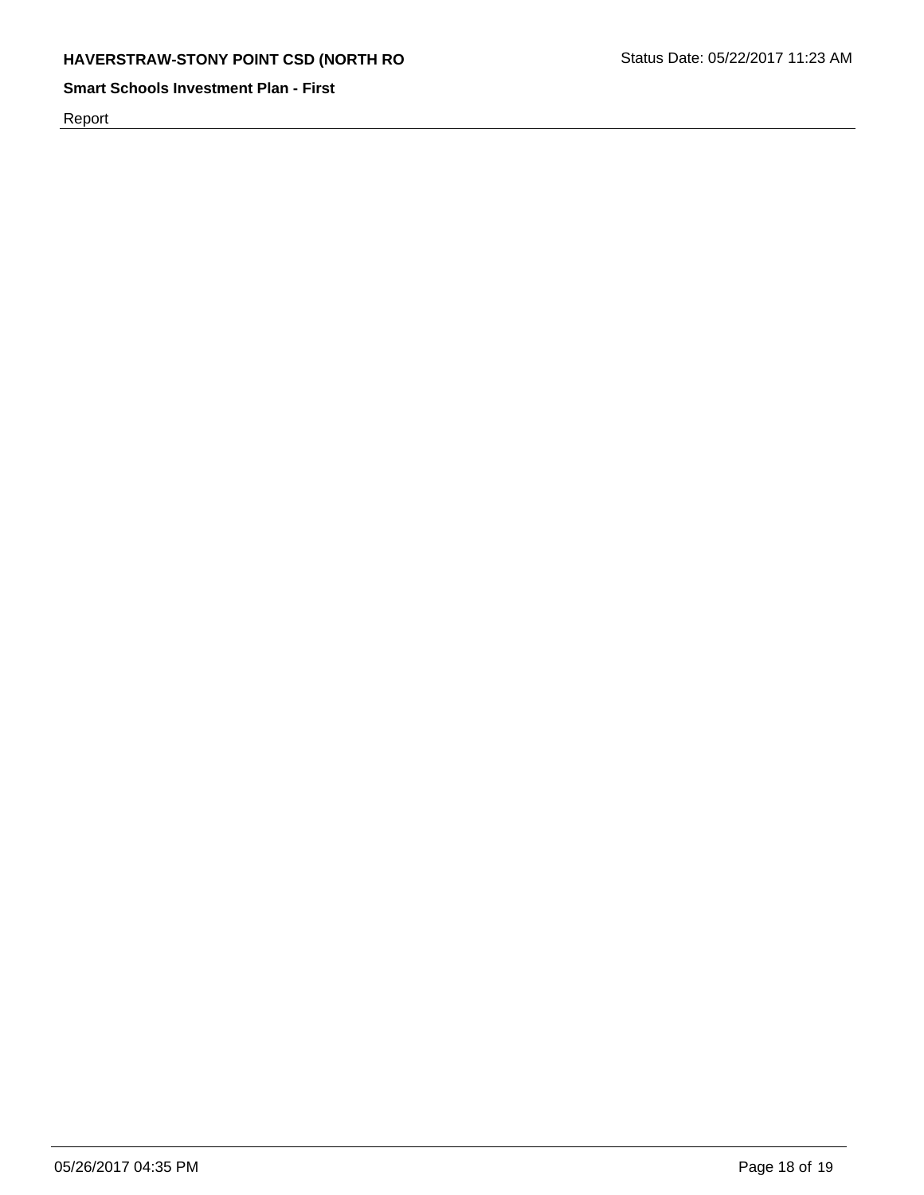Report